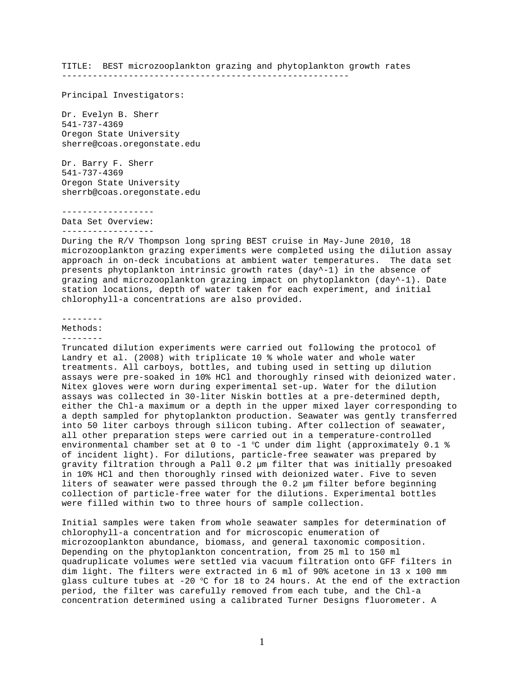TITLE: BEST microzooplankton grazing and phytoplankton growth rates

--------------------------------------------------------

Principal Investigators:

Dr. Evelyn B. Sherr 541-737-4369 Oregon State University sherre@coas.oregonstate.edu

Dr. Barry F. Sherr 541-737-4369 Oregon State University sherrb@coas.oregonstate.edu

------------------ Data Set Overview:

------------------

During the R/V Thompson long spring BEST cruise in May-June 2010, 18 microzooplankton grazing experiments were completed using the dilution assay approach in on-deck incubations at ambient water temperatures. The data set presents phytoplankton intrinsic growth rates (day^-1) in the absence of grazing and microzooplankton grazing impact on phytoplankton (day^-1). Date station locations, depth of water taken for each experiment, and initial chlorophyll-a concentrations are also provided.

-------- Methods: --------

Truncated dilution experiments were carried out following the protocol of Landry et al. (2008) with triplicate 10 % whole water and whole water treatments. All carboys, bottles, and tubing used in setting up dilution assays were pre-soaked in 10% HCl and thoroughly rinsed with deionized water. Nitex gloves were worn during experimental set-up. Water for the dilution assays was collected in 30-liter Niskin bottles at a pre-determined depth, either the Chl-a maximum or a depth in the upper mixed layer corresponding to a depth sampled for phytoplankton production. Seawater was gently transferred into 50 liter carboys through silicon tubing. After collection of seawater, all other preparation steps were carried out in a temperature-controlled environmental chamber set at 0 to -1  $^{\circ}$ C under dim light (approximately 0.1 % of incident light). For dilutions, particle-free seawater was prepared by gravity filtration through a Pall 0.2 µm filter that was initially presoaked in 10% HCl and then thoroughly rinsed with deionized water. Five to seven liters of seawater were passed through the 0.2 µm filter before beginning collection of particle-free water for the dilutions. Experimental bottles were filled within two to three hours of sample collection.

Initial samples were taken from whole seawater samples for determination of chlorophyll-a concentration and for microscopic enumeration of microzooplankton abundance, biomass, and general taxonomic composition. Depending on the phytoplankton concentration, from 25 ml to 150 ml quadruplicate volumes were settled via vacuum filtration onto GFF filters in dim light. The filters were extracted in 6 ml of 90% acetone in 13 x 100 mm glass culture tubes at -20  $\degree$ C for 18 to 24 hours. At the end of the extraction period, the filter was carefully removed from each tube, and the Chl-a concentration determined using a calibrated Turner Designs fluorometer. A